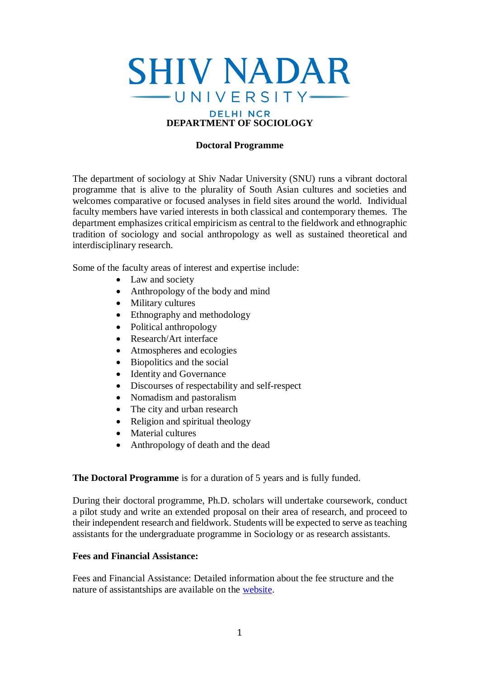

#### **Doctoral Programme**

The department of sociology at Shiv Nadar University (SNU) runs a vibrant doctoral programme that is alive to the plurality of South Asian cultures and societies and welcomes comparative or focused analyses in field sites around the world. Individual faculty members have varied interests in both classical and contemporary themes. The department emphasizes critical empiricism as central to the fieldwork and ethnographic tradition of sociology and social anthropology as well as sustained theoretical and interdisciplinary research.

Some of the faculty areas of interest and expertise include:

- Law and society
- Anthropology of the body and mind
- Military cultures
- Ethnography and methodology
- Political anthropology
- Research/Art interface
- Atmospheres and ecologies
- Biopolitics and the social
- Identity and Governance
- Discourses of respectability and self-respect
- Nomadism and pastoralism
- The city and urban research
- Religion and spiritual theology
- Material cultures
- Anthropology of death and the dead

**The Doctoral Programme** is for a duration of 5 years and is fully funded.

During their doctoral programme, Ph.D. scholars will undertake coursework, conduct a pilot study and write an extended proposal on their area of research, and proceed to their independent research and fieldwork. Students will be expected to serve as teaching assistants for the undergraduate programme in Sociology or as research assistants.

#### **Fees and Financial Assistance:**

Fees and Financial Assistance: Detailed information about the fee structure and the nature of assistantships are available on the [website.](https://snu.edu.in/sites/default/files/Phd_Fee_Structure_2022.pdf)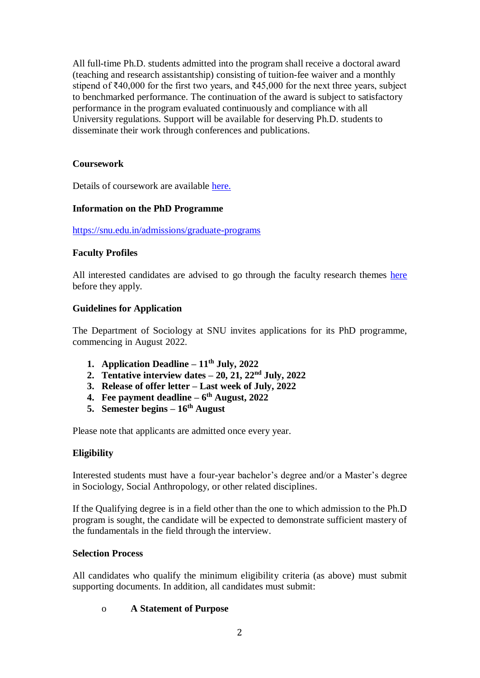All full-time Ph.D. students admitted into the program shall receive a doctoral award (teaching and research assistantship) consisting of tuition-fee waiver and a monthly stipend of  $\text{\textsterling}40,000$  for the first two years, and  $\text{\textsterling}45,000$  for the next three years, subject to benchmarked performance. The continuation of the award is subject to satisfactory performance in the program evaluated continuously and compliance with all University regulations. Support will be available for deserving Ph.D. students to disseminate their work through conferences and publications.

# **Coursework**

Details of coursework are available [here.](https://sociology.snu.edu.in/graduate/doctoral/phd-in-sociology/program-structure)

## **Information on the PhD Programme**

<https://snu.edu.in/admissions/graduate-programs>

## **Faculty Profiles**

All interested candidates are advised to go through the faculty research themes [here](https://sociology.snu.edu.in/people/faculty) before they apply.

## **Guidelines for Application**

The Department of Sociology at SNU invites applications for its PhD programme, commencing in August 2022.

- **1. Application Deadline – 11th July, 2022**
- **2. Tentative interview dates – 20, 21, 22nd July, 2022**
- **3. Release of offer letter – Last week of July, 2022**
- **4. Fee payment deadline – 6 th August, 2022**
- **5. Semester begins – 16th August**

Please note that applicants are admitted once every year.

## **Eligibility**

Interested students must have a four-year bachelor's degree and/or a Master's degree in Sociology, Social Anthropology, or other related disciplines.

If the Qualifying degree is in a field other than the one to which admission to the Ph.D program is sought, the candidate will be expected to demonstrate sufficient mastery of the fundamentals in the field through the interview.

## **Selection Process**

All candidates who qualify the minimum eligibility criteria (as above) must submit supporting documents. In addition, all candidates must submit:

## o **A Statement of Purpose**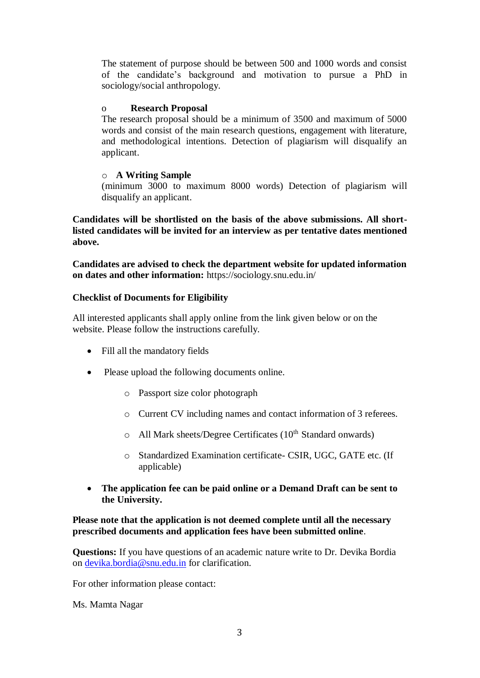The statement of purpose should be between 500 and 1000 words and consist of the candidate's background and motivation to pursue a PhD in sociology/social anthropology.

#### o **Research Proposal**

The research proposal should be a minimum of 3500 and maximum of 5000 words and consist of the main research questions, engagement with literature, and methodological intentions. Detection of plagiarism will disqualify an applicant.

#### o **A Writing Sample**

(minimum 3000 to maximum 8000 words) Detection of plagiarism will disqualify an applicant.

**Candidates will be shortlisted on the basis of the above submissions. All shortlisted candidates will be invited for an interview as per tentative dates mentioned above.** 

**Candidates are advised to check the department website for updated information on dates and other information:** https://sociology.snu.edu.in/

#### **Checklist of Documents for Eligibility**

All interested applicants shall apply online from the link given below or on the website. Please follow the instructions carefully.

- Fill all the mandatory fields
- Please upload the following documents online.
	- o Passport size color photograph
	- o Current CV including names and contact information of 3 referees.
	- $\circ$  All Mark sheets/Degree Certificates (10<sup>th</sup> Standard onwards)
	- o Standardized Examination certificate- CSIR, UGC, GATE etc. (If applicable)
- **The application fee can be paid online or a Demand Draft can be sent to the University.**

#### **Please note that the application is not deemed complete until all the necessary prescribed documents and application fees have been submitted online**.

**Questions:** If you have questions of an academic nature write to Dr. Devika Bordia on [devika.bordia@snu.edu.in](mailto:devika.bordia@snu.edu.in) for clarification.

For other information please contact:

Ms. Mamta Nagar